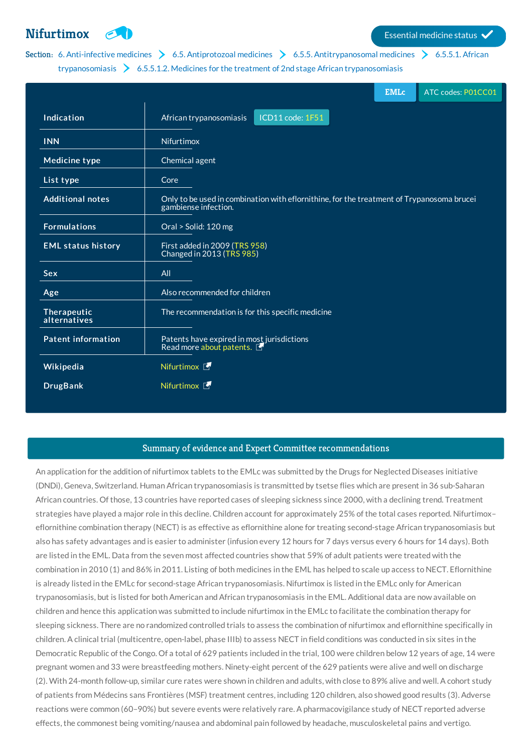**[Nifurtimox](http://list.essentialmeds.org/medicines/390) Extending COV Essential medicine status** 

## Section: 6. [Anti-infective](http://list.essentialmeds.org/?section=332) medicines  $\triangleright$  6.5. [Antiprotozoal](http://list.essentialmeds.org/?section=361) medicines  $\triangleright$  6.5.5. [Antitrypanosomal](http://list.essentialmeds.org/?section=369) medicines  $\triangleright$  6.5.5.1. African [trypanosomiasis](http://list.essentialmeds.org/?section=475) > 6.5.5.1.2. Medicines for the treatment of 2nd stage African trypanosomiasis

|                             |                                                                                                                   | <b>EMLc</b> | ATC codes: P01CC01 |
|-----------------------------|-------------------------------------------------------------------------------------------------------------------|-------------|--------------------|
| Indication                  | ICD11 code: 1F51<br>African trypanosomiasis                                                                       |             |                    |
| <b>INN</b>                  | Nifurtimox                                                                                                        |             |                    |
| <b>Medicine type</b>        | Chemical agent                                                                                                    |             |                    |
| List type                   | Core                                                                                                              |             |                    |
| <b>Additional notes</b>     | Only to be used in combination with eflornithine, for the treatment of Trypanosoma brucei<br>gambiense infection. |             |                    |
| <b>Formulations</b>         | Oral > Solid: 120 mg                                                                                              |             |                    |
| <b>EML status history</b>   | First added in 2009 (TRS 958)<br>Changed in 2013 (TRS 985)                                                        |             |                    |
| Sex                         | All                                                                                                               |             |                    |
| Age                         | Also recommended for children                                                                                     |             |                    |
| Therapeutic<br>alternatives | The recommendation is for this specific medicine                                                                  |             |                    |
| <b>Patent information</b>   | Patents have expired in most jurisdictions<br>Read more about patents.                                            |             |                    |
| Wikipedia                   | Nifurtimox <sup>1</sup>                                                                                           |             |                    |
| <b>DrugBank</b>             | Nifurtimox <b>下</b>                                                                                               |             |                    |

## Summary of evidence and Expert Committee recommendations

An application for the addition of nifurtimox tablets to the EMLc was submitted by the Drugs for Neglected Diseases initiative (DNDi), Geneva, Switzerland. Human African trypanosomiasis is transmitted by tsetse flies which are present in 36 sub-Saharan African countries. Of those, 13 countries have reported cases of sleeping sickness since 2000, with a declining trend. Treatment strategies have played a major role in this decline. Children account for approximately 25% of the total cases reported. Nifurtimox– eflornithine combination therapy (NECT) is as effective as eflornithine alone for treating second-stage African trypanosomiasis but also has safety advantages and is easier to administer (infusion every 12 hours for 7 days versus every 6 hours for 14 days). Both are listed in the EML. Data from the seven most affected countries show that 59% of adult patients were treated with the combination in 2010 (1) and 86% in 2011. Listing of both medicines in the EML has helped to scale up access to NECT. Eflornithine is already listed in the EMLc for second-stage African trypanosomiasis. Nifurtimox is listed in the EMLc only for American trypanosomiasis, but is listed for both American and African trypanosomiasis in the EML. Additional data are now available on children and hence this application was submitted to include nifurtimox in the EMLc to facilitate the combination therapy for sleeping sickness. There are no randomized controlled trials to assess the combination of nifurtimox and eflornithine specifically in children. A clinical trial (multicentre, open-label, phase IIIb) to assess NECT in field conditions was conducted in six sites in the Democratic Republic of the Congo. Of a total of 629 patients included in the trial, 100 were children below 12 years of age, 14 were pregnant women and 33 were breastfeeding mothers. Ninety-eight percent of the 629 patients were alive and well on discharge (2). With 24-month follow-up, similar cure rates were shown in children and adults, with close to 89% alive and well. A cohort study of patients from Médecins sans Frontières (MSF) treatment centres, including 120 children, also showed good results (3). Adverse reactions were common (60–90%) but severe events were relatively rare. A pharmacovigilance study of NECT reported adverse effects, the commonest being vomiting/nausea and abdominal pain followed by headache, musculoskeletal pains and vertigo.